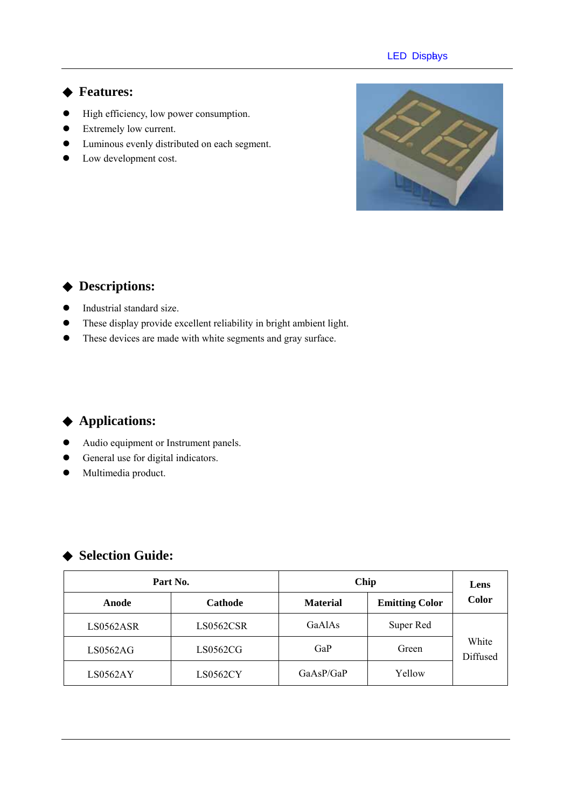#### **LED Displys**

#### **Features:**

- $\bullet$  High efficiency, low power consumption.
- Extremely low current.
- $\bullet$  Luminous evenly distributed on each segment.
- Low development cost.



### **Descriptions:**

- $\bullet$  Industrial standard size.
- These display provide excellent reliability in bright ambient light.
- These devices are made with white segments and gray surface.

#### **Applications:**

- $\bullet$  Audio equipment or Instrument panels.
- General use for digital indicators.
- $\bullet$  Multimedia product.

## **Selection Guide:**

| Part No.  |           | Chip            | Lens                  |                   |
|-----------|-----------|-----------------|-----------------------|-------------------|
| Anode     | Cathode   | <b>Material</b> | <b>Emitting Color</b> | <b>Color</b>      |
| LS0562ASR | LS0562CSR | GaAlAs          | Super Red             | White<br>Diffused |
| LS0562AG  | LS0562CG  | GaP             | Green                 |                   |
| LS0562AY  | LS0562CY  | GaAsP/GaP       | Yellow                |                   |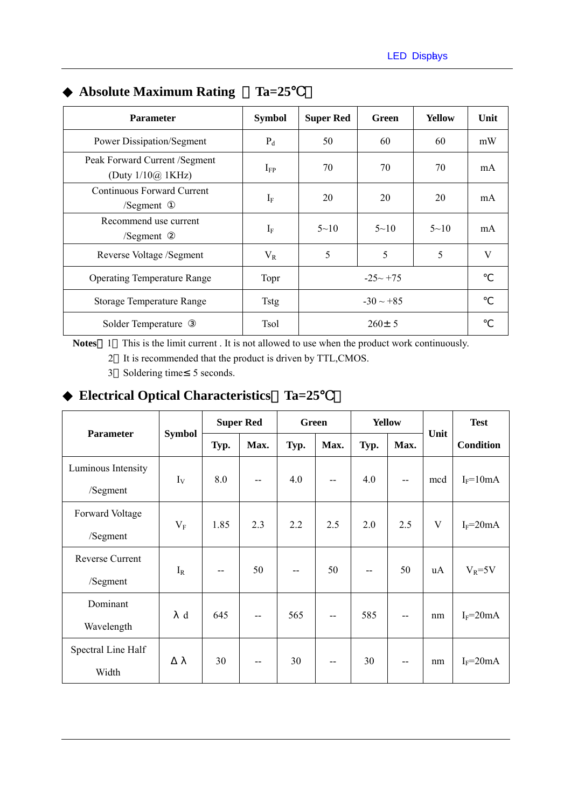| <b>Parameter</b>                                          | <b>Symbol</b> | <b>Super Red</b> | Green       | <b>Yellow</b> | Unit |
|-----------------------------------------------------------|---------------|------------------|-------------|---------------|------|
| <b>Power Dissipation/Segment</b>                          | $P_d$         | 50               | 60          | 60            | mW   |
| Peak Forward Current /Segment<br>(Duty $1/10\omega$ 1KHz) | $I_{FP}$      | 70               | 70          | 70            | mA   |
| Continuous Forward Current<br>/Segment                    | $I_F$         | 20               | 20          | 20            | mA   |
| Recommend use current<br>/Segment                         | $I_F$         | $5 - 10$         | $5 - 10$    | $5 \sim 10$   | mA   |
| Reverse Voltage /Segment                                  | $V_{R}$       | 5                | 5           | 5             | V    |
| <b>Operating Temperature Range</b>                        | Topr          |                  | $-25 - +75$ |               |      |
| <b>Storage Temperature Range</b>                          | <b>Tstg</b>   | $-30 \sim +85$   |             |               |      |
| Solder Temperature                                        | Tsol          | $260 \pm 5$      |             |               |      |

## **Absolute Maximum Rating**  Ta=25

Notes 1 This is the limit current . It is not allowed to use when the product work continuously.

2 It is recommended that the product is driven by TTL,CMOS.

3 Soldering time 5 seconds.

## **Electrical Optical Characteristics**%**Ta=25**℃)

| <b>Parameter</b>   | <b>Symbol</b> |              | <b>Super Red</b>         |      | <b>Green</b> |      | <b>Yellow</b> |              | <b>Test</b>      |   |  |
|--------------------|---------------|--------------|--------------------------|------|--------------|------|---------------|--------------|------------------|---|--|
|                    |               | Typ.         | Max.                     | Typ. | Max.         | Typ. | Max.          | Unit         | <b>Condition</b> |   |  |
| Luminous Intensity | $I_V$         | 8.0<br>$- -$ |                          |      |              |      |               |              |                  |   |  |
| /Segment           |               |              | 4.0                      | $-$  | 4.0          | --   | mcd           | $I_F = 10mA$ |                  |   |  |
| Forward Voltage    | $V_{\rm F}$   |              |                          | 1.85 | 2.3          | 2.2  | 2.5           | 2.0          | 2.5              | V |  |
| /Segment           |               |              |                          |      |              |      |               |              | $I_F = 20mA$     |   |  |
| Reverse Current    | $I_R$         |              | 50                       |      | 50           | --   | 50            | uA           | $V_R = 5V$       |   |  |
| /Segment           |               | --           |                          |      |              |      |               |              |                  |   |  |
| Dominant           | d             | 645          | --                       | 565  | --           | 585  | --            | nm           | $I_F = 20mA$     |   |  |
| Wavelength         |               |              |                          |      |              |      |               |              |                  |   |  |
| Spectral Line Half |               | 30           |                          | 30   |              | 30   |               |              |                  |   |  |
| Width              |               |              | $\overline{\phantom{a}}$ |      | --           |      | --            | nm           | $I_F = 20mA$     |   |  |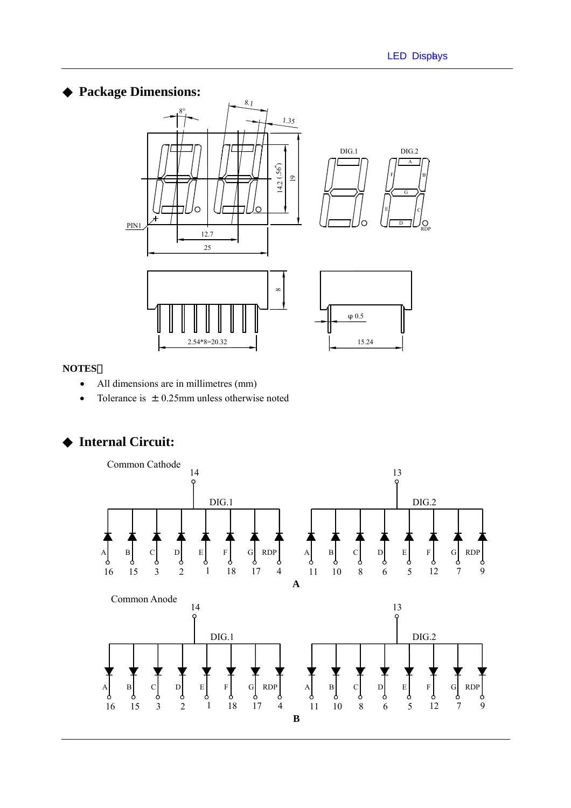#### **Package Dimensions:**



#### **NOTES**:

- All dimensions are in millimetres (mm)
- Tolerance is  $\pm 0.25$ mm unless otherwise noted

### **Internal Circuit:**

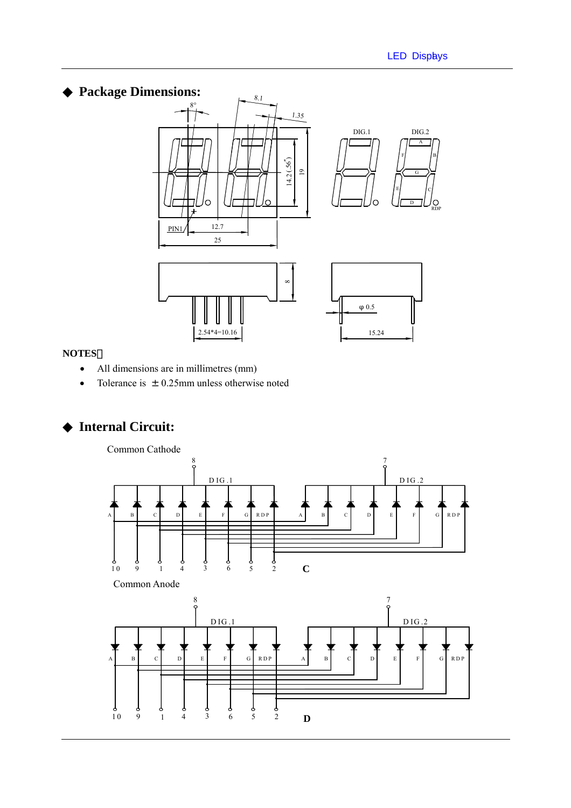B

C

G

A

D

F

DIG.1 DIG.2

E

RDP

Ō

## **Package Dimensions:**



# 0.5

#### **NOTES**:

- All dimensions are in millimetres (mm)
- Tolerance is  $\pm$  0.25mm unless otherwise noted

## **Internal Circuit:**

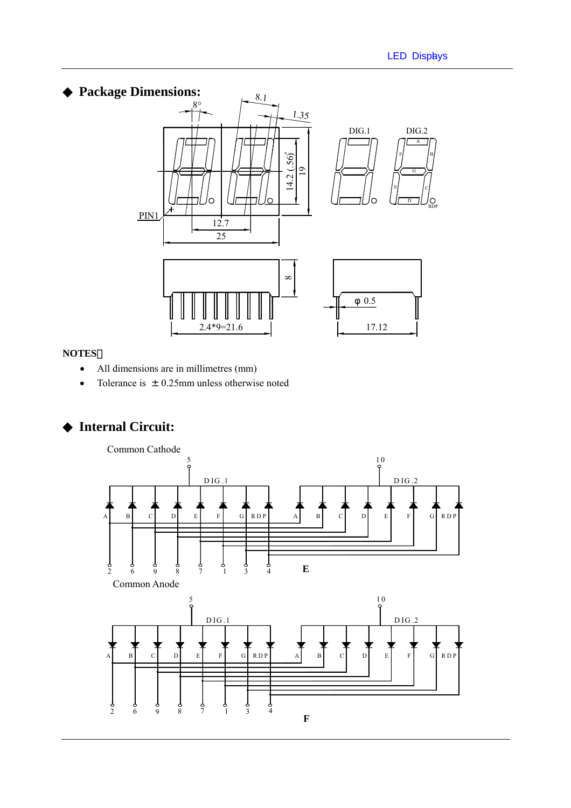## **Package Dimensions:**



#### **NOTES**:

- All dimensions are in millimetres (mm)
- Tolerance is  $\pm$  0.25mm unless otherwise noted

## **Internal Circuit:**